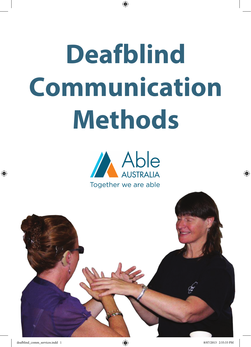# **Deafblind Communication Methods**



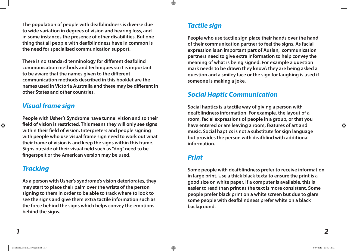**The population of people with deafblindness is diverse due to wide variation in degrees of vision and hearing loss, and in some instances the presence of other disabilities. But one thing that all people with deafblindness have in common is the need for specialised communication support.** 

**There is no standard terminology for different deafblind communication methods and techniques so it is important to be aware that the names given to the different communication methods described in this booklet are the names used in Victoria Australia and these may be different in other States and other countries.** 

#### *Visual frame sign*

**People with Usher's Syndrome have tunnel vision and so their field of vision is restricted. This means they will only see signs within their field of vision. Interpreters and people signing with people who use visual frame sign need to work out what their frame of vision is and keep the signs within this frame. Signs outside of their visual field such as "dog" need to be fingerspelt or the American version may be used.** 

#### *Tracking*

**As a person with Usher's syndrome's vision deteriorates, they may start to place their palm over the wrists of the person signing to them in order to be able to track where to look to see the signs and give them extra tactile information such as the force behind the signs which helps convey the emotions behind the signs.** 

## *Tactile sign*

**People who use tactile sign place their hands over the hand of their communication partner to feel the signs. As facial expression is an important part of Auslan, communication partners need to give extra information to help convey the meaning of what is being signed. For example a question mark needs to be drawn they know\ they are being asked a question and a smiley face or the sign for laughing is used if someone is making a joke.** 

## *Social Haptic Communication*

**Social haptics is a tactile way of giving a person with deafblindness information. For example. the layout of a room, facial expressions of people in a group, or that you have entered or are leaving a room, features of art and music. Social haptics is not a substitute for sign language but provides the person with deafblind with additional information.** 

#### *Print*

**Some people with deafblindness prefer to receive information in large print. Use a thick black texta to ensure the print is a good size on white paper. If a computer is available, this is easier to read than print as the text is more consistent. Some people prefer black print on a white screen but due to glare some people with deafblindness prefer white on a black background.**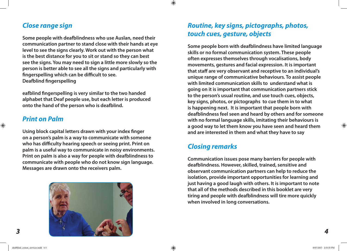#### *Close range sign*

**Some people with deafblindness who use Auslan, need their communication partner to stand close with their hands at eye level to see the signs clearly. Work out with the person what is the best distance for you to sit or stand so they can best see the signs. You may need to sign a little more slowly so the person is better able to see all the signs and particularly with fingerspelling which can be difficult to see. Deafblind fingerspelling** 

**eafblind fingerspelling is very similar to the two handed alphabet that Deaf people use, but each letter is produced onto the hand of the person who is deafblind.** 

#### *Print on Palm*

**Using block capital letters drawn with your index finger on a person's palm is a way to communicate with someone who has difficulty hearing speech or seeing print. Print on palm is a useful way to communicate in noisy environments. Print on palm is also a way for people with deafblindness to communicate with people who do not know sign language. Messages are drawn onto the receivers palm.**



# *Routine, key signs, pictographs, photos, touch cues, gesture, objects*

**Some people born with deafblindness have limited language skills or no formal communication system. These people often expresses themselves through vocalisations, body movements, gestures and facial expression. It is important that staff are very observant and receptive to an individual's unique range of communicative behaviours. To assist people with limited communication skills to understand what is going on it is important that communication partners stick to the person's usual routine, and use touch cues, objects, key signs, photos, or pictographs to cue them in to what is happening next. It is important that people born with deafblindness feel seen and heard by others and for someone with no formal language skills, imitating their behaviours is a good way to let them know you have seen and heard them and are interested in them and what they have to say**

## *Closing remarks*

**Communication issues pose many barriers for people with deafblindness. However, skilled, trained, sensitive and observant communication partners can help to reduce the isolation, provide important opportunities for learning and just having a good laugh with others. It is important to note that all of the methods described in this booklet are very tiring and people with deafblindness will tire more quickly when involved in long conversations.**